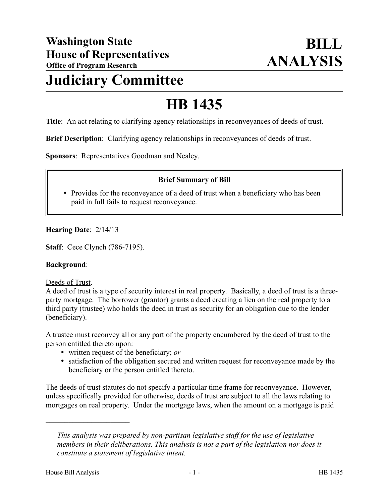## **Judiciary Committee**

# **HB 1435**

**Title**: An act relating to clarifying agency relationships in reconveyances of deeds of trust.

**Brief Description**: Clarifying agency relationships in reconveyances of deeds of trust.

**Sponsors**: Representatives Goodman and Nealey.

## **Brief Summary of Bill**

• Provides for the reconveyance of a deed of trust when a beneficiary who has been paid in full fails to request reconveyance.

#### **Hearing Date**: 2/14/13

**Staff**: Cece Clynch (786-7195).

#### **Background**:

#### Deeds of Trust.

A deed of trust is a type of security interest in real property. Basically, a deed of trust is a threeparty mortgage. The borrower (grantor) grants a deed creating a lien on the real property to a third party (trustee) who holds the deed in trust as security for an obligation due to the lender (beneficiary).

A trustee must reconvey all or any part of the property encumbered by the deed of trust to the person entitled thereto upon:

- written request of the beneficiary; *or*
- satisfaction of the obligation secured and written request for reconveyance made by the beneficiary or the person entitled thereto.

The deeds of trust statutes do not specify a particular time frame for reconveyance. However, unless specifically provided for otherwise, deeds of trust are subject to all the laws relating to mortgages on real property. Under the mortgage laws, when the amount on a mortgage is paid

––––––––––––––––––––––

*This analysis was prepared by non-partisan legislative staff for the use of legislative members in their deliberations. This analysis is not a part of the legislation nor does it constitute a statement of legislative intent.*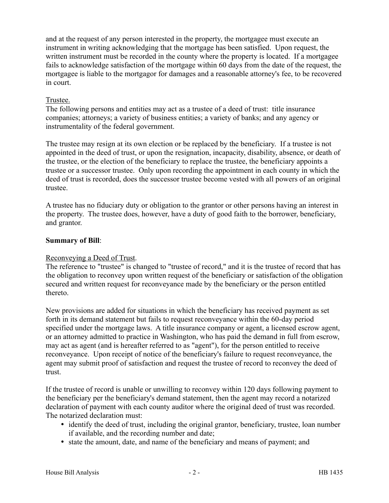and at the request of any person interested in the property, the mortgagee must execute an instrument in writing acknowledging that the mortgage has been satisfied. Upon request, the written instrument must be recorded in the county where the property is located. If a mortgagee fails to acknowledge satisfaction of the mortgage within 60 days from the date of the request, the mortgagee is liable to the mortgagor for damages and a reasonable attorney's fee, to be recovered in court.

## Trustee.

The following persons and entities may act as a trustee of a deed of trust: title insurance companies; attorneys; a variety of business entities; a variety of banks; and any agency or instrumentality of the federal government.

The trustee may resign at its own election or be replaced by the beneficiary. If a trustee is not appointed in the deed of trust, or upon the resignation, incapacity, disability, absence, or death of the trustee, or the election of the beneficiary to replace the trustee, the beneficiary appoints a trustee or a successor trustee. Only upon recording the appointment in each county in which the deed of trust is recorded, does the successor trustee become vested with all powers of an original trustee.

A trustee has no fiduciary duty or obligation to the grantor or other persons having an interest in the property. The trustee does, however, have a duty of good faith to the borrower, beneficiary, and grantor.

## **Summary of Bill**:

## Reconveying a Deed of Trust.

The reference to "trustee" is changed to "trustee of record," and it is the trustee of record that has the obligation to reconvey upon written request of the beneficiary or satisfaction of the obligation secured and written request for reconveyance made by the beneficiary or the person entitled thereto.

New provisions are added for situations in which the beneficiary has received payment as set forth in its demand statement but fails to request reconveyance within the 60-day period specified under the mortgage laws. A title insurance company or agent, a licensed escrow agent, or an attorney admitted to practice in Washington, who has paid the demand in full from escrow, may act as agent (and is hereafter referred to as "agent"), for the person entitled to receive reconveyance. Upon receipt of notice of the beneficiary's failure to request reconveyance, the agent may submit proof of satisfaction and request the trustee of record to reconvey the deed of trust.

If the trustee of record is unable or unwilling to reconvey within 120 days following payment to the beneficiary per the beneficiary's demand statement, then the agent may record a notarized declaration of payment with each county auditor where the original deed of trust was recorded. The notarized declaration must:

- identify the deed of trust, including the original grantor, beneficiary, trustee, loan number if available, and the recording number and date;
- state the amount, date, and name of the beneficiary and means of payment; and